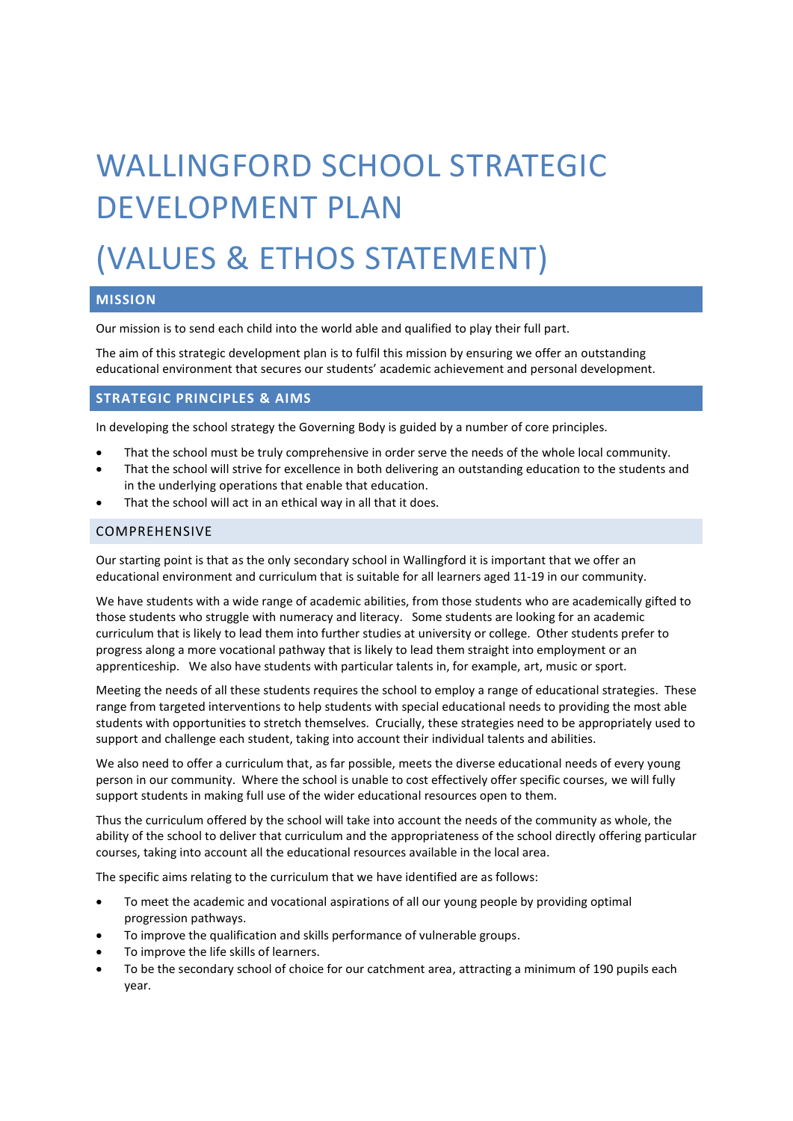# WALLINGFORD SCHOOL STRATEGIC DEVELOPMENT PLAN

# (VALUES & ETHOS STATEMENT)

## **MISSION**

Our mission is to send each child into the world able and qualified to play their full part.

The aim of this strategic development plan is to fulfil this mission by ensuring we offer an outstanding educational environment that secures our students' academic achievement and personal development.

#### **STRATEGIC PRINCIPLES & AIMS**

In developing the school strategy the Governing Body is guided by a number of core principles.

- That the school must be truly comprehensive in order serve the needs of the whole local community.
- That the school will strive for excellence in both delivering an outstanding education to the students and in the underlying operations that enable that education.
- That the school will act in an ethical way in all that it does.

#### COMPREHENSIVE

Our starting point is that as the only secondary school in Wallingford it is important that we offer an educational environment and curriculum that is suitable for all learners aged 11-19 in our community.

We have students with a wide range of academic abilities, from those students who are academically gifted to those students who struggle with numeracy and literacy. Some students are looking for an academic curriculum that is likely to lead them into further studies at university or college. Other students prefer to progress along a more vocational pathway that is likely to lead them straight into employment or an apprenticeship. We also have students with particular talents in, for example, art, music or sport.

Meeting the needs of all these students requires the school to employ a range of educational strategies. These range from targeted interventions to help students with special educational needs to providing the most able students with opportunities to stretch themselves. Crucially, these strategies need to be appropriately used to support and challenge each student, taking into account their individual talents and abilities.

We also need to offer a curriculum that, as far possible, meets the diverse educational needs of every young person in our community. Where the school is unable to cost effectively offer specific courses, we will fully support students in making full use of the wider educational resources open to them.

Thus the curriculum offered by the school will take into account the needs of the community as whole, the ability of the school to deliver that curriculum and the appropriateness of the school directly offering particular courses, taking into account all the educational resources available in the local area.

The specific aims relating to the curriculum that we have identified are as follows:

- To meet the academic and vocational aspirations of all our young people by providing optimal progression pathways.
- To improve the qualification and skills performance of vulnerable groups.
- To improve the life skills of learners.
- To be the secondary school of choice for our catchment area, attracting a minimum of 190 pupils each year.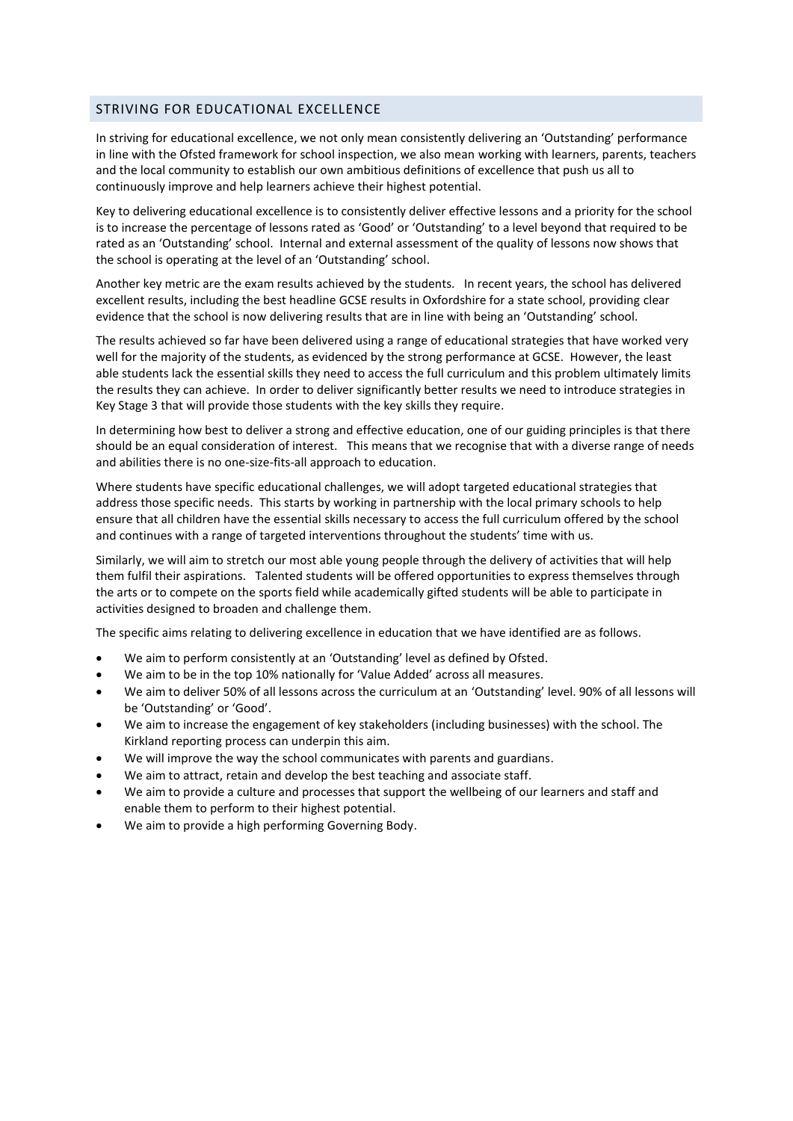### STRIVING FOR EDUCATIONAL EXCELLENCE

In striving for educational excellence, we not only mean consistently delivering an 'Outstanding' performance in line with the Ofsted framework for school inspection, we also mean working with learners, parents, teachers and the local community to establish our own ambitious definitions of excellence that push us all to continuously improve and help learners achieve their highest potential.

Key to delivering educational excellence is to consistently deliver effective lessons and a priority for the school is to increase the percentage of lessons rated as 'Good' or 'Outstanding' to a level beyond that required to be rated as an 'Outstanding' school. Internal and external assessment of the quality of lessons now shows that the school is operating at the level of an 'Outstanding' school.

Another key metric are the exam results achieved by the students. In recent years, the school has delivered excellent results, including the best headline GCSE results in Oxfordshire for a state school, providing clear evidence that the school is now delivering results that are in line with being an 'Outstanding' school.

The results achieved so far have been delivered using a range of educational strategies that have worked very well for the majority of the students, as evidenced by the strong performance at GCSE. However, the least able students lack the essential skills they need to access the full curriculum and this problem ultimately limits the results they can achieve. In order to deliver significantly better results we need to introduce strategies in Key Stage 3 that will provide those students with the key skills they require.

In determining how best to deliver a strong and effective education, one of our guiding principles is that there should be an equal consideration of interest. This means that we recognise that with a diverse range of needs and abilities there is no one-size-fits-all approach to education.

Where students have specific educational challenges, we will adopt targeted educational strategies that address those specific needs. This starts by working in partnership with the local primary schools to help ensure that all children have the essential skills necessary to access the full curriculum offered by the school and continues with a range of targeted interventions throughout the students' time with us.

Similarly, we will aim to stretch our most able young people through the delivery of activities that will help them fulfil their aspirations. Talented students will be offered opportunities to express themselves through the arts or to compete on the sports field while academically gifted students will be able to participate in activities designed to broaden and challenge them.

The specific aims relating to delivering excellence in education that we have identified are as follows.

- We aim to perform consistently at an 'Outstanding' level as defined by Ofsted.
- We aim to be in the top 10% nationally for 'Value Added' across all measures.
- We aim to deliver 50% of all lessons across the curriculum at an 'Outstanding' level. 90% of all lessons will be 'Outstanding' or 'Good'.
- We aim to increase the engagement of key stakeholders (including businesses) with the school. The Kirkland reporting process can underpin this aim.
- We will improve the way the school communicates with parents and guardians.
- We aim to attract, retain and develop the best teaching and associate staff.
- We aim to provide a culture and processes that support the wellbeing of our learners and staff and enable them to perform to their highest potential.
- We aim to provide a high performing Governing Body.